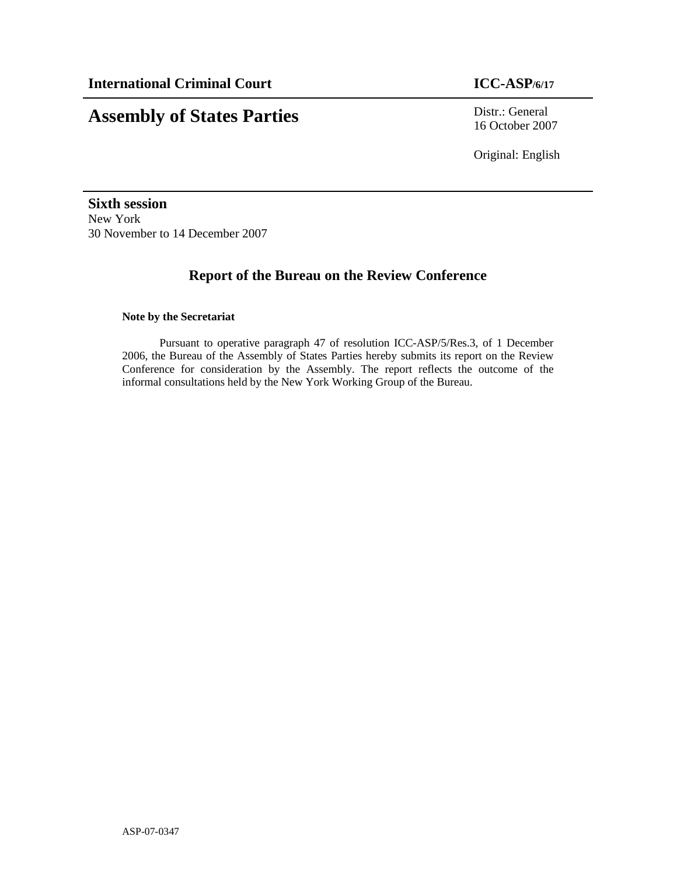# **Assembly of States Parties** Distr.: General

16 October 2007

Original: English

**Sixth session**  New York 30 November to 14 December 2007

## **Report of the Bureau on the Review Conference**

## **Note by the Secretariat**

Pursuant to operative paragraph 47 of resolution ICC-ASP/5/Res.3, of 1 December 2006, the Bureau of the Assembly of States Parties hereby submits its report on the Review Conference for consideration by the Assembly. The report reflects the outcome of the informal consultations held by the New York Working Group of the Bureau.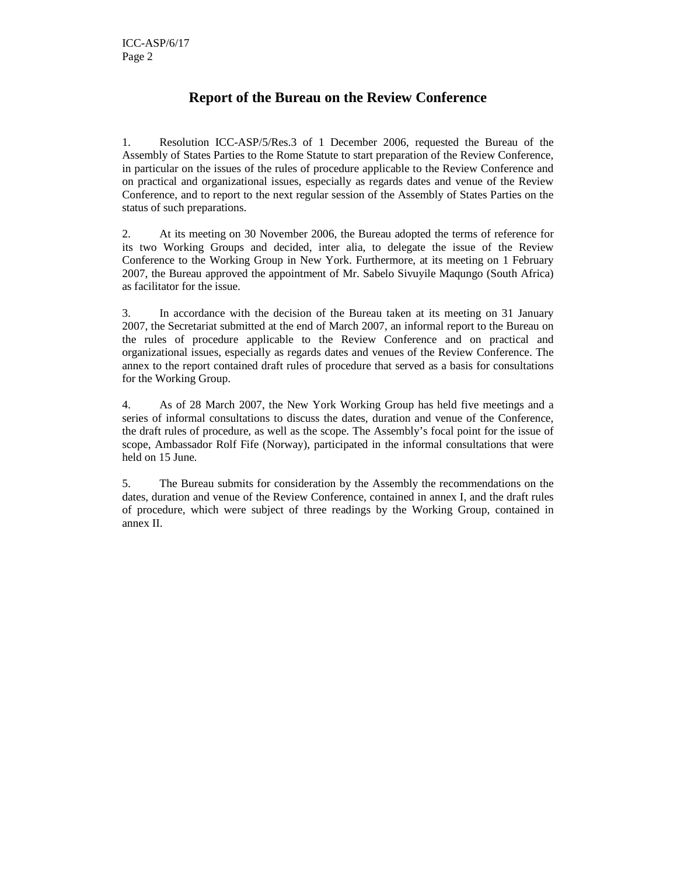## **Report of the Bureau on the Review Conference**

1. Resolution ICC-ASP/5/Res.3 of 1 December 2006, requested the Bureau of the Assembly of States Parties to the Rome Statute to start preparation of the Review Conference, in particular on the issues of the rules of procedure applicable to the Review Conference and on practical and organizational issues, especially as regards dates and venue of the Review Conference, and to report to the next regular session of the Assembly of States Parties on the status of such preparations.

2. At its meeting on 30 November 2006, the Bureau adopted the terms of reference for its two Working Groups and decided, inter alia, to delegate the issue of the Review Conference to the Working Group in New York. Furthermore, at its meeting on 1 February 2007, the Bureau approved the appointment of Mr. Sabelo Sivuyile Maqungo (South Africa) as facilitator for the issue.

3. In accordance with the decision of the Bureau taken at its meeting on 31 January 2007, the Secretariat submitted at the end of March 2007, an informal report to the Bureau on the rules of procedure applicable to the Review Conference and on practical and organizational issues, especially as regards dates and venues of the Review Conference. The annex to the report contained draft rules of procedure that served as a basis for consultations for the Working Group.

4. As of 28 March 2007, the New York Working Group has held five meetings and a series of informal consultations to discuss the dates, duration and venue of the Conference, the draft rules of procedure, as well as the scope. The Assembly's focal point for the issue of scope, Ambassador Rolf Fife (Norway), participated in the informal consultations that were held on 15 June.

5. The Bureau submits for consideration by the Assembly the recommendations on the dates, duration and venue of the Review Conference, contained in annex I, and the draft rules of procedure, which were subject of three readings by the Working Group, contained in annex II.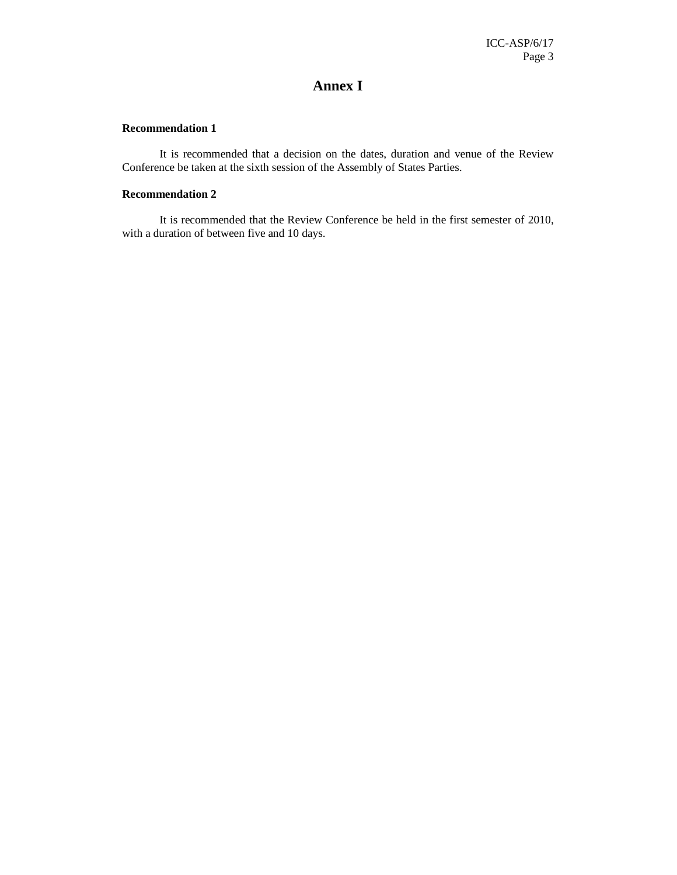## **Annex I**

## **Recommendation 1**

 It is recommended that a decision on the dates, duration and venue of the Review Conference be taken at the sixth session of the Assembly of States Parties.

## **Recommendation 2**

 It is recommended that the Review Conference be held in the first semester of 2010, with a duration of between five and 10 days.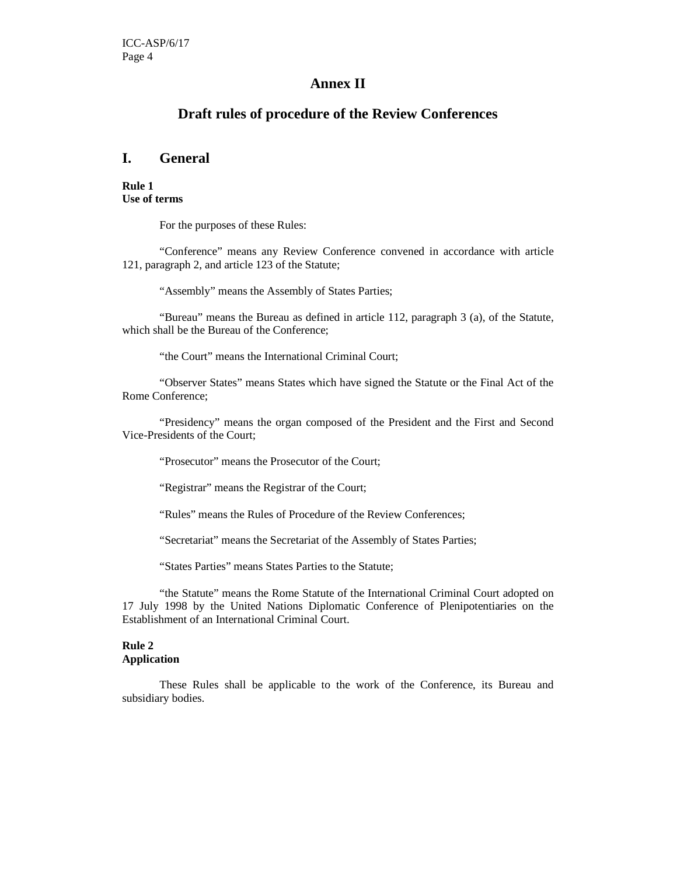## **Annex II**

## **Draft rules of procedure of the Review Conferences**

## **I. General**

**Rule 1 Use of terms** 

For the purposes of these Rules:

 "Conference" means any Review Conference convened in accordance with article 121, paragraph 2, and article 123 of the Statute;

"Assembly" means the Assembly of States Parties;

 "Bureau" means the Bureau as defined in article 112, paragraph 3 (a), of the Statute, which shall be the Bureau of the Conference;

"the Court" means the International Criminal Court;

 "Observer States" means States which have signed the Statute or the Final Act of the Rome Conference;

 "Presidency" means the organ composed of the President and the First and Second Vice-Presidents of the Court;

"Prosecutor" means the Prosecutor of the Court;

"Registrar" means the Registrar of the Court;

"Rules" means the Rules of Procedure of the Review Conferences;

"Secretariat" means the Secretariat of the Assembly of States Parties;

"States Parties" means States Parties to the Statute;

 "the Statute" means the Rome Statute of the International Criminal Court adopted on 17 July 1998 by the United Nations Diplomatic Conference of Plenipotentiaries on the Establishment of an International Criminal Court.

## **Rule 2**

### **Application**

These Rules shall be applicable to the work of the Conference, its Bureau and subsidiary bodies.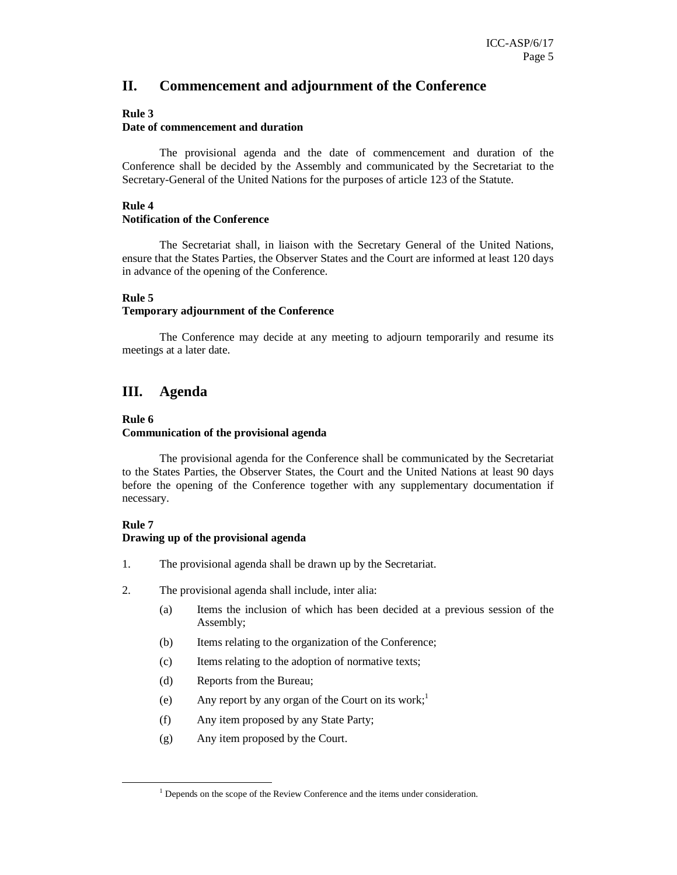## **II. Commencement and adjournment of the Conference**

### **Rule 3**

## **Date of commencement and duration**

The provisional agenda and the date of commencement and duration of the Conference shall be decided by the Assembly and communicated by the Secretariat to the Secretary-General of the United Nations for the purposes of article 123 of the Statute.

## **Rule 4**

#### **Notification of the Conference**

The Secretariat shall, in liaison with the Secretary General of the United Nations, ensure that the States Parties, the Observer States and the Court are informed at least 120 days in advance of the opening of the Conference.

### **Rule 5**

#### **Temporary adjournment of the Conference**

 The Conference may decide at any meeting to adjourn temporarily and resume its meetings at a later date.

## **III. Agenda**

#### **Rule 6**

### **Communication of the provisional agenda**

 The provisional agenda for the Conference shall be communicated by the Secretariat to the States Parties, the Observer States, the Court and the United Nations at least 90 days before the opening of the Conference together with any supplementary documentation if necessary.

### **Rule 7**

-

#### **Drawing up of the provisional agenda**

- 1. The provisional agenda shall be drawn up by the Secretariat.
- 2. The provisional agenda shall include, inter alia:
	- (a) Items the inclusion of which has been decided at a previous session of the Assembly;
	- (b) Items relating to the organization of the Conference;
	- (c) Items relating to the adoption of normative texts;
	- (d) Reports from the Bureau;
	- (e) Any report by any organ of the Court on its work;<sup>1</sup>
	- (f) Any item proposed by any State Party;
	- (g) Any item proposed by the Court.

<sup>&</sup>lt;sup>1</sup> Depends on the scope of the Review Conference and the items under consideration.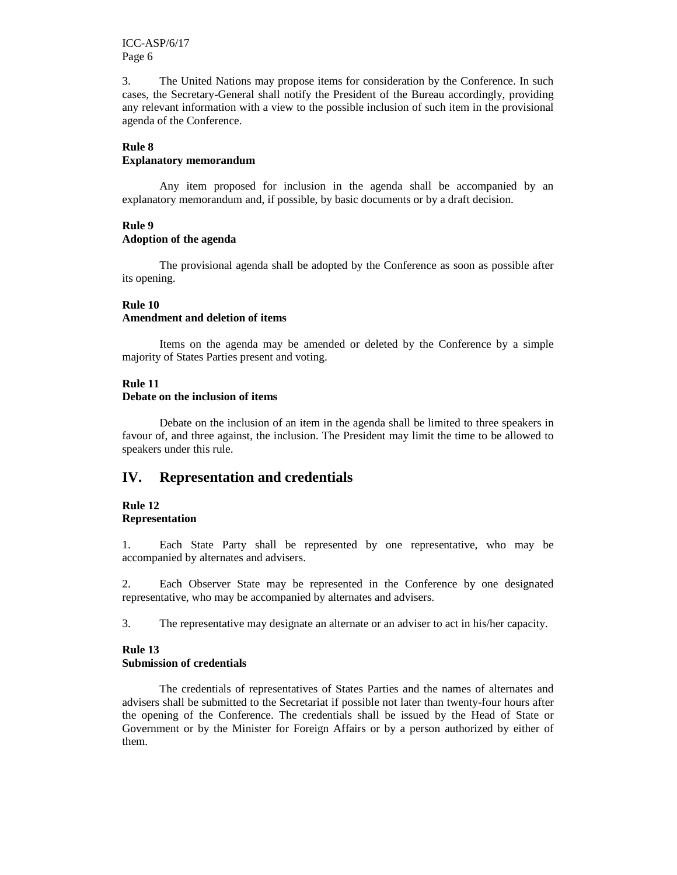3. The United Nations may propose items for consideration by the Conference. In such cases, the Secretary-General shall notify the President of the Bureau accordingly, providing any relevant information with a view to the possible inclusion of such item in the provisional agenda of the Conference.

## **Rule 8**

## **Explanatory memorandum**

 Any item proposed for inclusion in the agenda shall be accompanied by an explanatory memorandum and, if possible, by basic documents or by a draft decision.

## **Rule 9**

## **Adoption of the agenda**

 The provisional agenda shall be adopted by the Conference as soon as possible after its opening.

### **Rule 10**

## **Amendment and deletion of items**

 Items on the agenda may be amended or deleted by the Conference by a simple majority of States Parties present and voting.

## **Rule 11**

## **Debate on the inclusion of items**

 Debate on the inclusion of an item in the agenda shall be limited to three speakers in favour of, and three against, the inclusion. The President may limit the time to be allowed to speakers under this rule.

## **IV. Representation and credentials**

#### **Rule 12 Representation**

1. Each State Party shall be represented by one representative, who may be accompanied by alternates and advisers.

2. Each Observer State may be represented in the Conference by one designated representative, who may be accompanied by alternates and advisers.

3. The representative may designate an alternate or an adviser to act in his/her capacity.

### **Rule 13**

### **Submission of credentials**

 The credentials of representatives of States Parties and the names of alternates and advisers shall be submitted to the Secretariat if possible not later than twenty-four hours after the opening of the Conference. The credentials shall be issued by the Head of State or Government or by the Minister for Foreign Affairs or by a person authorized by either of them.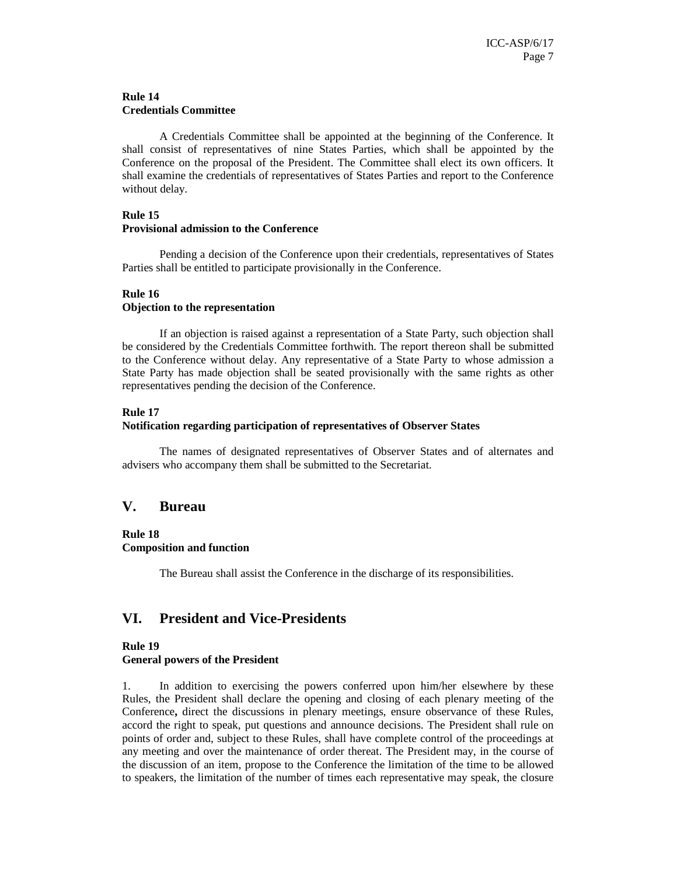### **Rule 14 Credentials Committee**

 A Credentials Committee shall be appointed at the beginning of the Conference. It shall consist of representatives of nine States Parties, which shall be appointed by the Conference on the proposal of the President. The Committee shall elect its own officers. It shall examine the credentials of representatives of States Parties and report to the Conference without delay.

## **Rule 15**

### **Provisional admission to the Conference**

 Pending a decision of the Conference upon their credentials, representatives of States Parties shall be entitled to participate provisionally in the Conference.

## **Rule 16**

## **Objection to the representation**

 If an objection is raised against a representation of a State Party, such objection shall be considered by the Credentials Committee forthwith. The report thereon shall be submitted to the Conference without delay. Any representative of a State Party to whose admission a State Party has made objection shall be seated provisionally with the same rights as other representatives pending the decision of the Conference.

### **Rule 17**

### **Notification regarding participation of representatives of Observer States**

 The names of designated representatives of Observer States and of alternates and advisers who accompany them shall be submitted to the Secretariat.

## **V. Bureau**

## **Rule 18 Composition and function**

The Bureau shall assist the Conference in the discharge of its responsibilities.

## **VI. President and Vice-Presidents**

#### **Rule 19**

### **General powers of the President**

1. In addition to exercising the powers conferred upon him/her elsewhere by these Rules, the President shall declare the opening and closing of each plenary meeting of the Conference**,** direct the discussions in plenary meetings, ensure observance of these Rules, accord the right to speak, put questions and announce decisions. The President shall rule on points of order and, subject to these Rules, shall have complete control of the proceedings at any meeting and over the maintenance of order thereat. The President may, in the course of the discussion of an item, propose to the Conference the limitation of the time to be allowed to speakers, the limitation of the number of times each representative may speak, the closure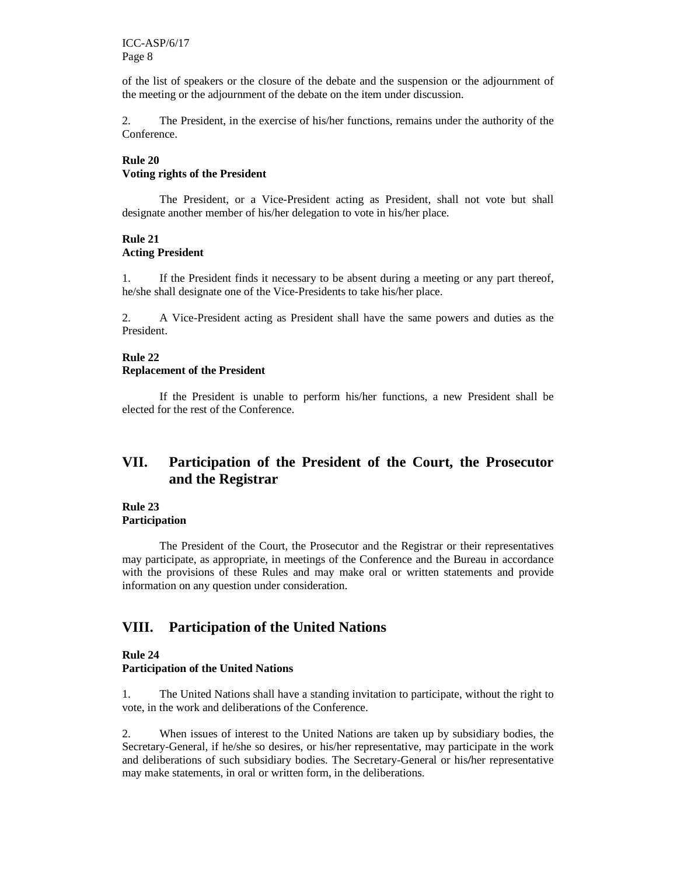of the list of speakers or the closure of the debate and the suspension or the adjournment of the meeting or the adjournment of the debate on the item under discussion.

2. The President, in the exercise of his/her functions, remains under the authority of the Conference.

## **Rule 20 Voting rights of the President**

 The President, or a Vice-President acting as President, shall not vote but shall designate another member of his/her delegation to vote in his/her place.

### **Rule 21 Acting President**

1. If the President finds it necessary to be absent during a meeting or any part thereof, he/she shall designate one of the Vice-Presidents to take his/her place.

2. A Vice-President acting as President shall have the same powers and duties as the President.

#### **Rule 22 Replacement of the President**

 If the President is unable to perform his/her functions, a new President shall be elected for the rest of the Conference.

## **VII. Participation of the President of the Court, the Prosecutor and the Registrar**

#### **Rule 23 Participation**

 The President of the Court, the Prosecutor and the Registrar or their representatives may participate, as appropriate, in meetings of the Conference and the Bureau in accordance with the provisions of these Rules and may make oral or written statements and provide information on any question under consideration.

## **VIII. Participation of the United Nations**

#### **Rule 24 Participation of the United Nations**

1. The United Nations shall have a standing invitation to participate, without the right to vote, in the work and deliberations of the Conference.

2. When issues of interest to the United Nations are taken up by subsidiary bodies, the Secretary-General, if he/she so desires, or his/her representative, may participate in the work and deliberations of such subsidiary bodies. The Secretary-General or his**/**her representative may make statements, in oral or written form, in the deliberations.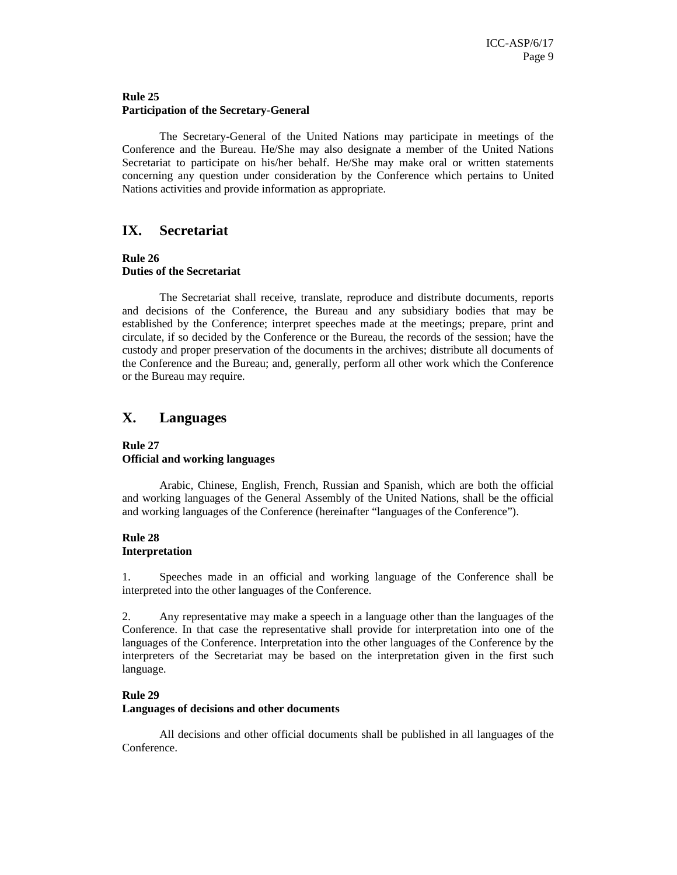### **Rule 25 Participation of the Secretary-General**

 The Secretary-General of the United Nations may participate in meetings of the Conference and the Bureau. He/She may also designate a member of the United Nations Secretariat to participate on his/her behalf. He/She may make oral or written statements concerning any question under consideration by the Conference which pertains to United Nations activities and provide information as appropriate.

## **IX. Secretariat**

#### **Rule 26 Duties of the Secretariat**

 The Secretariat shall receive, translate, reproduce and distribute documents, reports and decisions of the Conference, the Bureau and any subsidiary bodies that may be established by the Conference; interpret speeches made at the meetings; prepare, print and circulate, if so decided by the Conference or the Bureau, the records of the session; have the custody and proper preservation of the documents in the archives; distribute all documents of the Conference and the Bureau; and, generally, perform all other work which the Conference or the Bureau may require.

## **X. Languages**

## **Rule 27 Official and working languages**

 Arabic, Chinese, English, French, Russian and Spanish, which are both the official and working languages of the General Assembly of the United Nations, shall be the official and working languages of the Conference (hereinafter "languages of the Conference").

### **Rule 28 Interpretation**

1. Speeches made in an official and working language of the Conference shall be interpreted into the other languages of the Conference.

2. Any representative may make a speech in a language other than the languages of the Conference. In that case the representative shall provide for interpretation into one of the languages of the Conference. Interpretation into the other languages of the Conference by the interpreters of the Secretariat may be based on the interpretation given in the first such language.

## **Rule 29**

### **Languages of decisions and other documents**

 All decisions and other official documents shall be published in all languages of the Conference.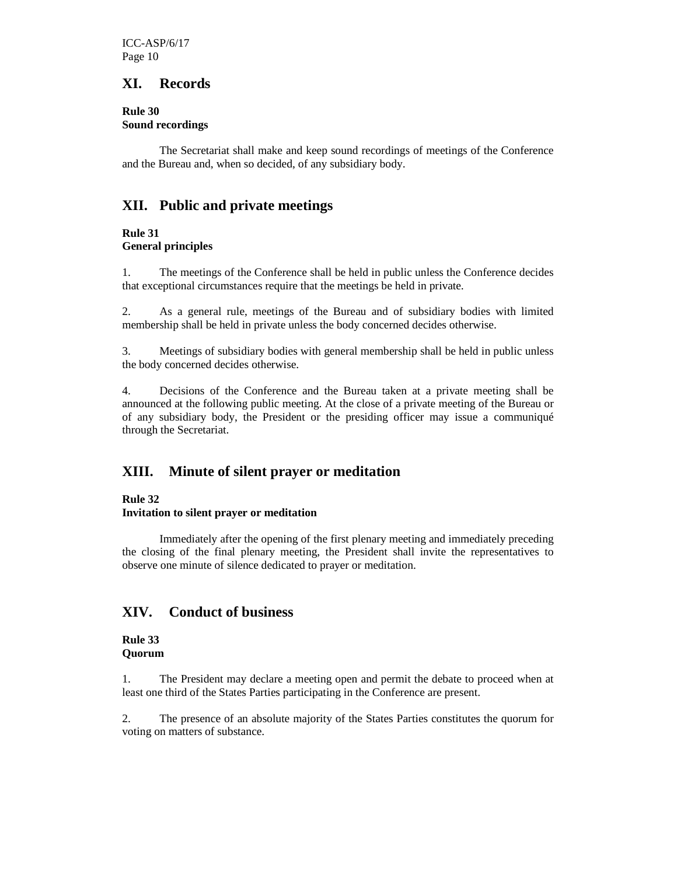## **XI. Records**

**Rule 30 Sound recordings** 

 The Secretariat shall make and keep sound recordings of meetings of the Conference and the Bureau and, when so decided, of any subsidiary body.

## **XII. Public and private meetings**

## **Rule 31 General principles**

1. The meetings of the Conference shall be held in public unless the Conference decides that exceptional circumstances require that the meetings be held in private.

2. As a general rule, meetings of the Bureau and of subsidiary bodies with limited membership shall be held in private unless the body concerned decides otherwise.

3. Meetings of subsidiary bodies with general membership shall be held in public unless the body concerned decides otherwise.

4. Decisions of the Conference and the Bureau taken at a private meeting shall be announced at the following public meeting. At the close of a private meeting of the Bureau or of any subsidiary body, the President or the presiding officer may issue a communiqué through the Secretariat.

## **XIII. Minute of silent prayer or meditation**

## **Rule 32**

## **Invitation to silent prayer or meditation**

 Immediately after the opening of the first plenary meeting and immediately preceding the closing of the final plenary meeting, the President shall invite the representatives to observe one minute of silence dedicated to prayer or meditation.

## **XIV. Conduct of business**

### **Rule 33 Quorum**

1. The President may declare a meeting open and permit the debate to proceed when at least one third of the States Parties participating in the Conference are present.

2. The presence of an absolute majority of the States Parties constitutes the quorum for voting on matters of substance.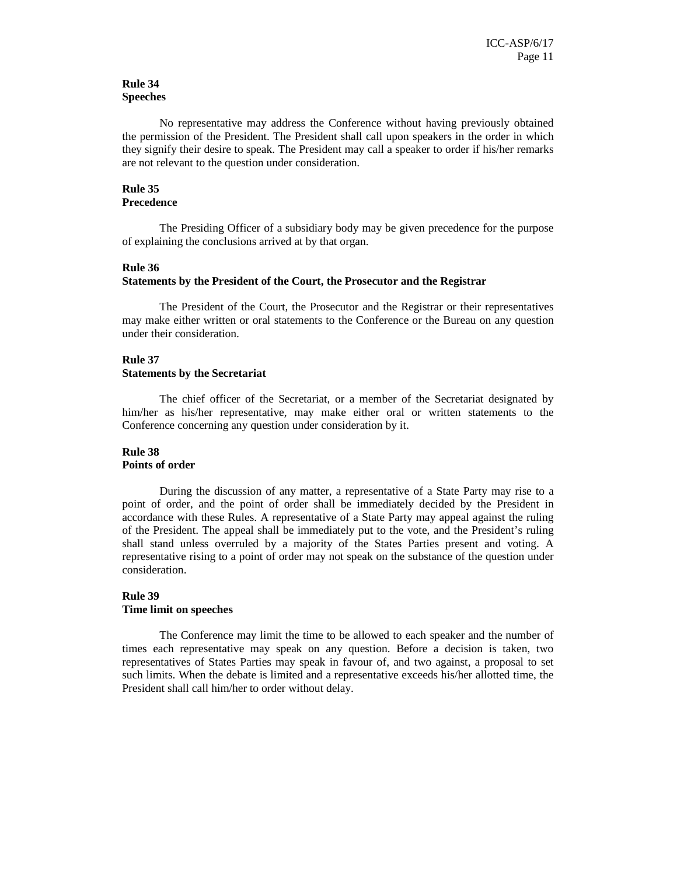### **Rule 34 Speeches**

 No representative may address the Conference without having previously obtained the permission of the President. The President shall call upon speakers in the order in which they signify their desire to speak. The President may call a speaker to order if his/her remarks are not relevant to the question under consideration.

#### **Rule 35 Precedence**

 The Presiding Officer of a subsidiary body may be given precedence for the purpose of explaining the conclusions arrived at by that organ.

#### **Rule 36**

#### **Statements by the President of the Court, the Prosecutor and the Registrar**

 The President of the Court, the Prosecutor and the Registrar or their representatives may make either written or oral statements to the Conference or the Bureau on any question under their consideration.

#### **Rule 37**

#### **Statements by the Secretariat**

 The chief officer of the Secretariat, or a member of the Secretariat designated by him/her as his/her representative, may make either oral or written statements to the Conference concerning any question under consideration by it.

#### **Rule 38 Points of order**

 During the discussion of any matter, a representative of a State Party may rise to a point of order, and the point of order shall be immediately decided by the President in accordance with these Rules. A representative of a State Party may appeal against the ruling of the President. The appeal shall be immediately put to the vote, and the President's ruling shall stand unless overruled by a majority of the States Parties present and voting. A representative rising to a point of order may not speak on the substance of the question under consideration.

#### **Rule 39 Time limit on speeches**

 The Conference may limit the time to be allowed to each speaker and the number of times each representative may speak on any question. Before a decision is taken, two representatives of States Parties may speak in favour of, and two against, a proposal to set such limits. When the debate is limited and a representative exceeds his/her allotted time, the President shall call him/her to order without delay.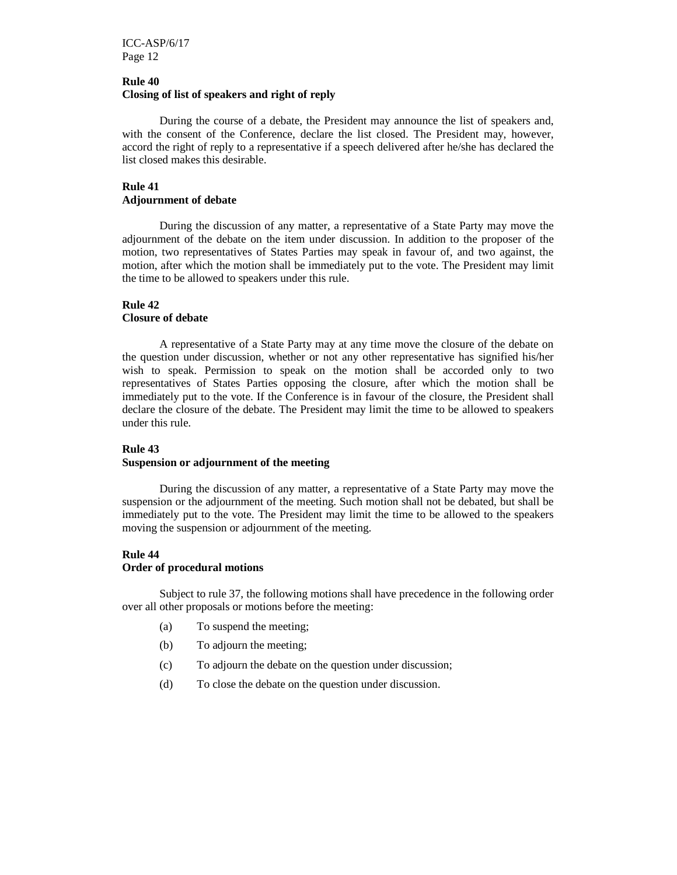## **Rule 40 Closing of list of speakers and right of reply**

 During the course of a debate, the President may announce the list of speakers and, with the consent of the Conference, declare the list closed. The President may, however, accord the right of reply to a representative if a speech delivered after he/she has declared the list closed makes this desirable.

## **Rule 41 Adjournment of debate**

 During the discussion of any matter, a representative of a State Party may move the adjournment of the debate on the item under discussion. In addition to the proposer of the motion, two representatives of States Parties may speak in favour of, and two against, the motion, after which the motion shall be immediately put to the vote. The President may limit the time to be allowed to speakers under this rule.

## **Rule 42**

## **Closure of debate**

 A representative of a State Party may at any time move the closure of the debate on the question under discussion, whether or not any other representative has signified his/her wish to speak. Permission to speak on the motion shall be accorded only to two representatives of States Parties opposing the closure, after which the motion shall be immediately put to the vote. If the Conference is in favour of the closure, the President shall declare the closure of the debate. The President may limit the time to be allowed to speakers under this rule.

### **Rule 43**

#### **Suspension or adjournment of the meeting**

 During the discussion of any matter, a representative of a State Party may move the suspension or the adjournment of the meeting. Such motion shall not be debated, but shall be immediately put to the vote. The President may limit the time to be allowed to the speakers moving the suspension or adjournment of the meeting.

### **Rule 44**

#### **Order of procedural motions**

 Subject to rule 37, the following motions shall have precedence in the following order over all other proposals or motions before the meeting:

- (a) To suspend the meeting;
- (b) To adjourn the meeting;
- (c) To adjourn the debate on the question under discussion;
- (d) To close the debate on the question under discussion.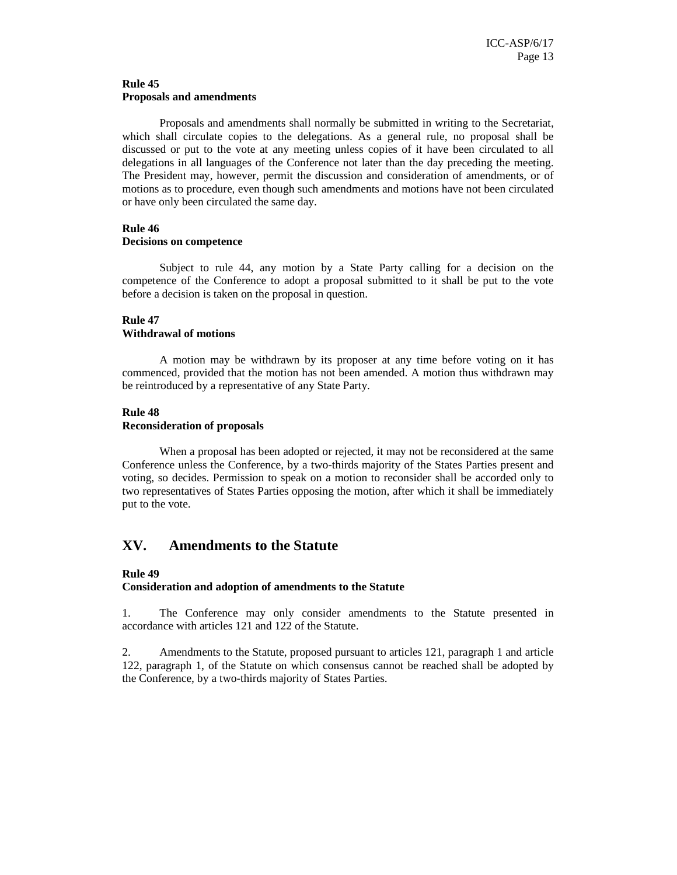#### **Rule 45 Proposals and amendments**

 Proposals and amendments shall normally be submitted in writing to the Secretariat, which shall circulate copies to the delegations. As a general rule, no proposal shall be discussed or put to the vote at any meeting unless copies of it have been circulated to all delegations in all languages of the Conference not later than the day preceding the meeting. The President may, however, permit the discussion and consideration of amendments, or of motions as to procedure, even though such amendments and motions have not been circulated or have only been circulated the same day.

## **Rule 46**

#### **Decisions on competence**

 Subject to rule 44, any motion by a State Party calling for a decision on the competence of the Conference to adopt a proposal submitted to it shall be put to the vote before a decision is taken on the proposal in question.

## **Rule 47**

### **Withdrawal of motions**

 A motion may be withdrawn by its proposer at any time before voting on it has commenced, provided that the motion has not been amended. A motion thus withdrawn may be reintroduced by a representative of any State Party.

#### **Rule 48**

#### **Reconsideration of proposals**

 When a proposal has been adopted or rejected, it may not be reconsidered at the same Conference unless the Conference, by a two-thirds majority of the States Parties present and voting, so decides. Permission to speak on a motion to reconsider shall be accorded only to two representatives of States Parties opposing the motion, after which it shall be immediately put to the vote.

## **XV. Amendments to the Statute**

### **Rule 49**

### **Consideration and adoption of amendments to the Statute**

1. The Conference may only consider amendments to the Statute presented in accordance with articles 121 and 122 of the Statute.

2. Amendments to the Statute, proposed pursuant to articles 121, paragraph 1 and article 122, paragraph 1, of the Statute on which consensus cannot be reached shall be adopted by the Conference, by a two-thirds majority of States Parties.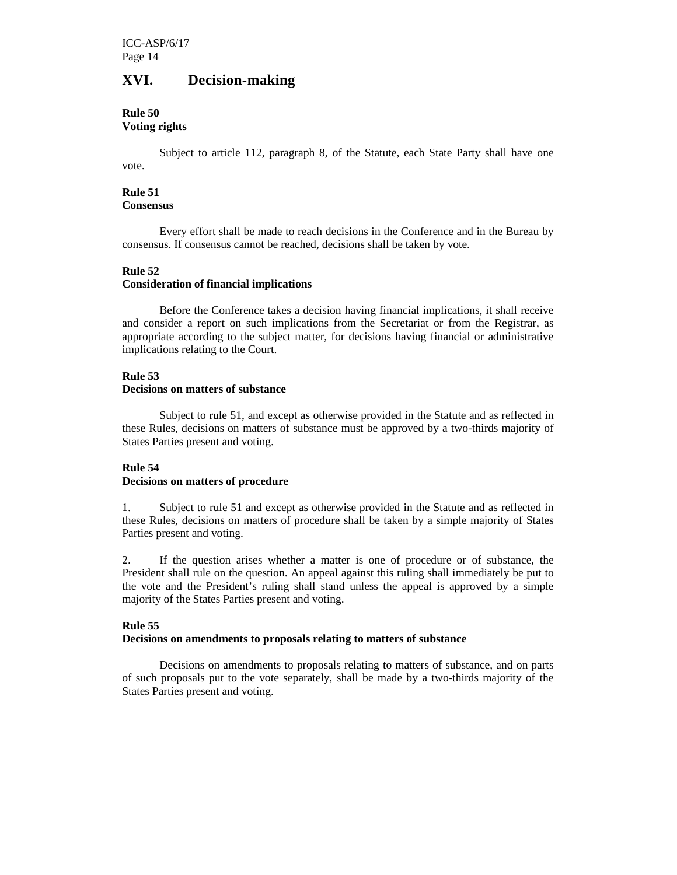## **XVI. Decision-making**

## **Rule 50**

## **Voting rights**

 Subject to article 112, paragraph 8, of the Statute, each State Party shall have one vote.

#### **Rule 51 Consensus**

 Every effort shall be made to reach decisions in the Conference and in the Bureau by consensus. If consensus cannot be reached, decisions shall be taken by vote.

## **Rule 52**

## **Consideration of financial implications**

 Before the Conference takes a decision having financial implications, it shall receive and consider a report on such implications from the Secretariat or from the Registrar, as appropriate according to the subject matter, for decisions having financial or administrative implications relating to the Court.

## **Rule 53**

## **Decisions on matters of substance**

 Subject to rule 51, and except as otherwise provided in the Statute and as reflected in these Rules, decisions on matters of substance must be approved by a two-thirds majority of States Parties present and voting.

### **Rule 54**

### **Decisions on matters of procedure**

1. Subject to rule 51 and except as otherwise provided in the Statute and as reflected in these Rules, decisions on matters of procedure shall be taken by a simple majority of States Parties present and voting.

2. If the question arises whether a matter is one of procedure or of substance, the President shall rule on the question. An appeal against this ruling shall immediately be put to the vote and the President's ruling shall stand unless the appeal is approved by a simple majority of the States Parties present and voting.

### **Rule 55**

### **Decisions on amendments to proposals relating to matters of substance**

 Decisions on amendments to proposals relating to matters of substance, and on parts of such proposals put to the vote separately, shall be made by a two-thirds majority of the States Parties present and voting.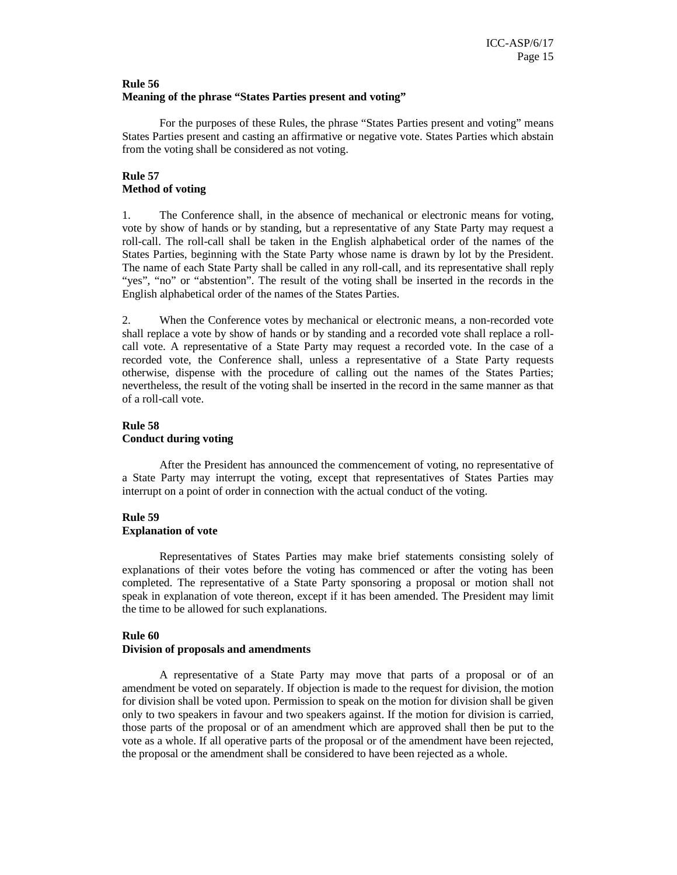#### **Rule 56 Meaning of the phrase "States Parties present and voting"**

 For the purposes of these Rules, the phrase "States Parties present and voting" means States Parties present and casting an affirmative or negative vote. States Parties which abstain from the voting shall be considered as not voting.

## **Rule 57 Method of voting**

1. The Conference shall, in the absence of mechanical or electronic means for voting, vote by show of hands or by standing, but a representative of any State Party may request a roll-call. The roll-call shall be taken in the English alphabetical order of the names of the States Parties, beginning with the State Party whose name is drawn by lot by the President. The name of each State Party shall be called in any roll-call, and its representative shall reply "yes", "no" or "abstention". The result of the voting shall be inserted in the records in the English alphabetical order of the names of the States Parties.

2. When the Conference votes by mechanical or electronic means, a non-recorded vote shall replace a vote by show of hands or by standing and a recorded vote shall replace a rollcall vote. A representative of a State Party may request a recorded vote. In the case of a recorded vote, the Conference shall, unless a representative of a State Party requests otherwise, dispense with the procedure of calling out the names of the States Parties; nevertheless, the result of the voting shall be inserted in the record in the same manner as that of a roll-call vote.

## **Rule 58 Conduct during voting**

 After the President has announced the commencement of voting, no representative of a State Party may interrupt the voting, except that representatives of States Parties may interrupt on a point of order in connection with the actual conduct of the voting.

## **Rule 59**

## **Explanation of vote**

 Representatives of States Parties may make brief statements consisting solely of explanations of their votes before the voting has commenced or after the voting has been completed. The representative of a State Party sponsoring a proposal or motion shall not speak in explanation of vote thereon, except if it has been amended. The President may limit the time to be allowed for such explanations.

## **Rule 60**

## **Division of proposals and amendments**

 A representative of a State Party may move that parts of a proposal or of an amendment be voted on separately. If objection is made to the request for division, the motion for division shall be voted upon. Permission to speak on the motion for division shall be given only to two speakers in favour and two speakers against. If the motion for division is carried, those parts of the proposal or of an amendment which are approved shall then be put to the vote as a whole. If all operative parts of the proposal or of the amendment have been rejected, the proposal or the amendment shall be considered to have been rejected as a whole.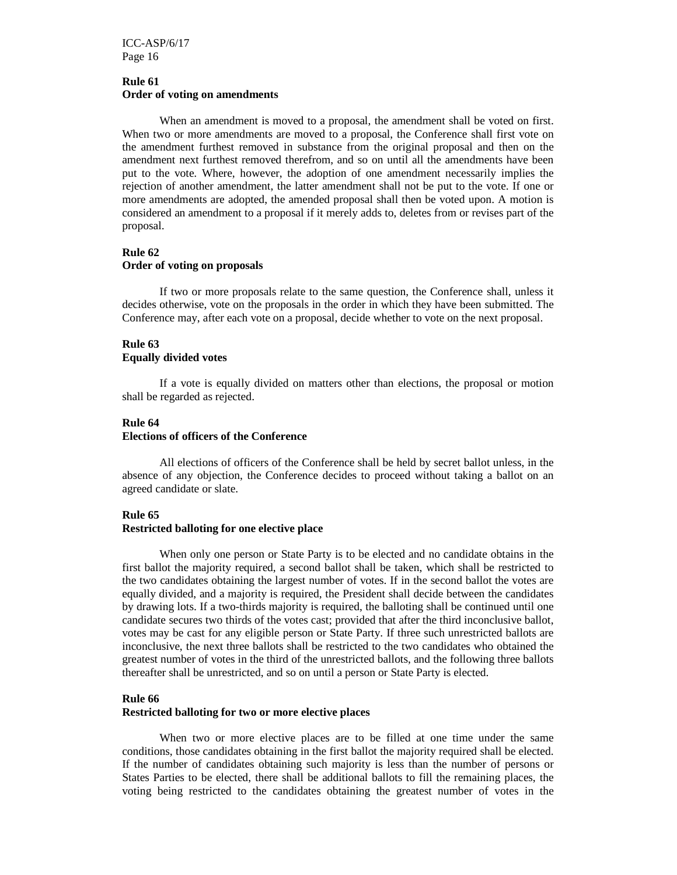ICC-ASP/6/17 Page 16

#### **Rule 61 Order of voting on amendments**

 When an amendment is moved to a proposal, the amendment shall be voted on first. When two or more amendments are moved to a proposal, the Conference shall first vote on the amendment furthest removed in substance from the original proposal and then on the amendment next furthest removed therefrom, and so on until all the amendments have been put to the vote. Where, however, the adoption of one amendment necessarily implies the rejection of another amendment, the latter amendment shall not be put to the vote. If one or more amendments are adopted, the amended proposal shall then be voted upon. A motion is considered an amendment to a proposal if it merely adds to, deletes from or revises part of the proposal.

### **Rule 62 Order of voting on proposals**

 If two or more proposals relate to the same question, the Conference shall, unless it decides otherwise, vote on the proposals in the order in which they have been submitted. The Conference may, after each vote on a proposal, decide whether to vote on the next proposal.

### **Rule 63 Equally divided votes**

 If a vote is equally divided on matters other than elections, the proposal or motion shall be regarded as rejected.

## **Rule 64**

### **Elections of officers of the Conference**

All elections of officers of the Conference shall be held by secret ballot unless, in the absence of any objection, the Conference decides to proceed without taking a ballot on an agreed candidate or slate.

#### **Rule 65**

### **Restricted balloting for one elective place**

When only one person or State Party is to be elected and no candidate obtains in the first ballot the majority required, a second ballot shall be taken, which shall be restricted to the two candidates obtaining the largest number of votes. If in the second ballot the votes are equally divided, and a majority is required, the President shall decide between the candidates by drawing lots. If a two-thirds majority is required, the balloting shall be continued until one candidate secures two thirds of the votes cast; provided that after the third inconclusive ballot, votes may be cast for any eligible person or State Party. If three such unrestricted ballots are inconclusive, the next three ballots shall be restricted to the two candidates who obtained the greatest number of votes in the third of the unrestricted ballots, and the following three ballots thereafter shall be unrestricted, and so on until a person or State Party is elected.

#### **Rule 66**

#### **Restricted balloting for two or more elective places**

When two or more elective places are to be filled at one time under the same conditions, those candidates obtaining in the first ballot the majority required shall be elected. If the number of candidates obtaining such majority is less than the number of persons or States Parties to be elected, there shall be additional ballots to fill the remaining places, the voting being restricted to the candidates obtaining the greatest number of votes in the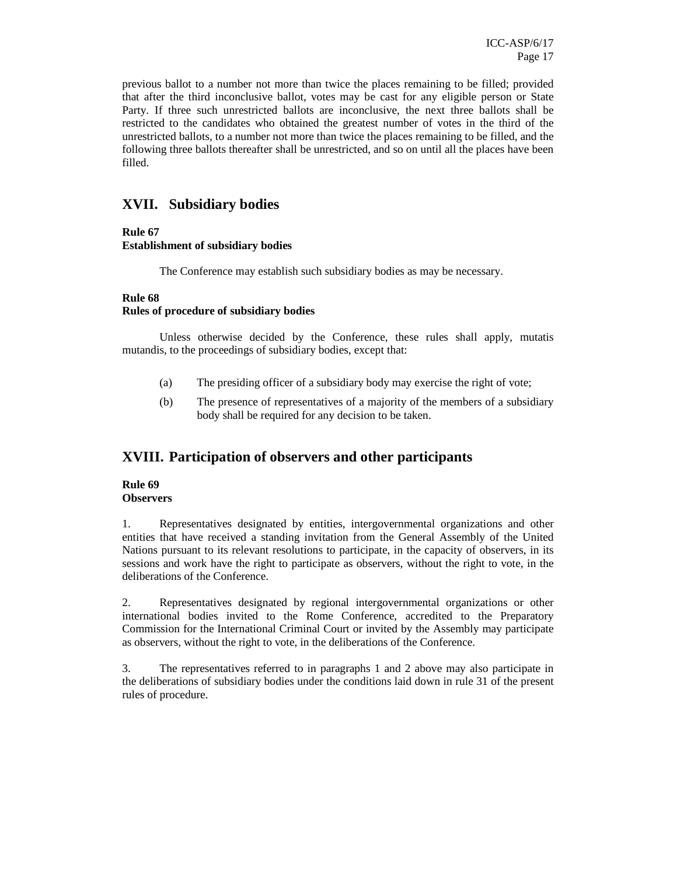previous ballot to a number not more than twice the places remaining to be filled; provided that after the third inconclusive ballot, votes may be cast for any eligible person or State Party. If three such unrestricted ballots are inconclusive, the next three ballots shall be restricted to the candidates who obtained the greatest number of votes in the third of the unrestricted ballots, to a number not more than twice the places remaining to be filled, and the following three ballots thereafter shall be unrestricted, and so on until all the places have been filled.

## **XVII. Subsidiary bodies**

## **Rule 67**

## **Establishment of subsidiary bodies**

The Conference may establish such subsidiary bodies as may be necessary.

## **Rule 68**

## **Rules of procedure of subsidiary bodies**

 Unless otherwise decided by the Conference, these rules shall apply, mutatis mutandis, to the proceedings of subsidiary bodies, except that:

- (a) The presiding officer of a subsidiary body may exercise the right of vote;
- (b) The presence of representatives of a majority of the members of a subsidiary body shall be required for any decision to be taken.

## **XVIII. Participation of observers and other participants**

### **Rule 69 Observers**

1. Representatives designated by entities, intergovernmental organizations and other entities that have received a standing invitation from the General Assembly of the United Nations pursuant to its relevant resolutions to participate, in the capacity of observers, in its sessions and work have the right to participate as observers, without the right to vote, in the deliberations of the Conference.

2. Representatives designated by regional intergovernmental organizations or other international bodies invited to the Rome Conference, accredited to the Preparatory Commission for the International Criminal Court or invited by the Assembly may participate as observers, without the right to vote, in the deliberations of the Conference.

3. The representatives referred to in paragraphs 1 and 2 above may also participate in the deliberations of subsidiary bodies under the conditions laid down in rule 31 of the present rules of procedure.